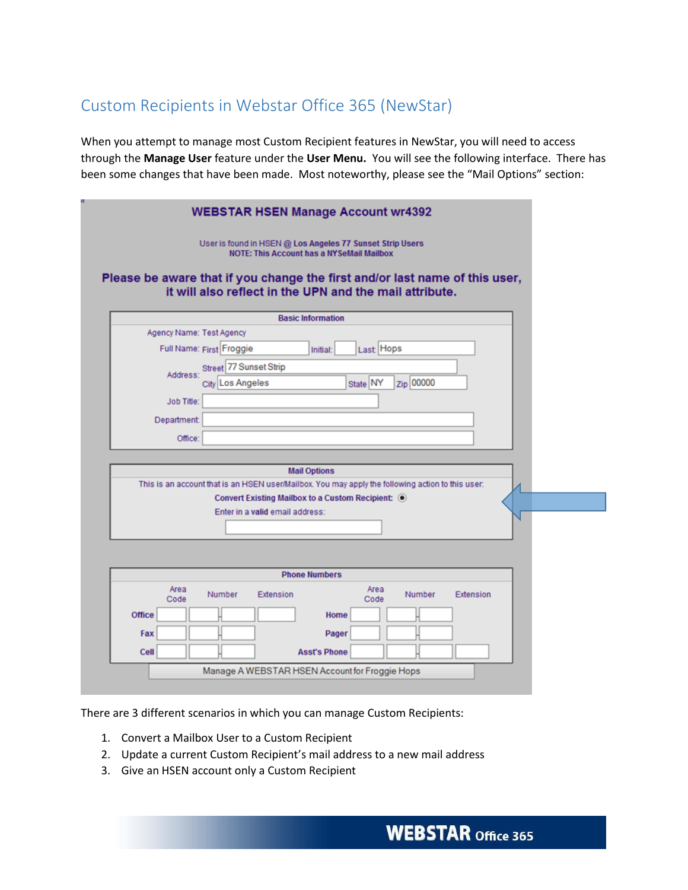## Custom Recipients in Webstar Office 365 (NewStar)

When you attempt to manage most Custom Recipient features in NewStar, you will need to access through the **Manage User** feature under the **User Menu.** You will see the following interface. There has been some changes that have been made. Most noteworthy, please see the "Mail Options" section:

| User is found in HSEN @ Los Angeles 77 Sunset Strip Users<br><b>NOTE: This Account has a NYSeMail Mailbox</b>                          |  |
|----------------------------------------------------------------------------------------------------------------------------------------|--|
| Please be aware that if you change the first and/or last name of this user,<br>it will also reflect in the UPN and the mail attribute. |  |
| <b>Basic Information</b>                                                                                                               |  |
| Agency Name: Test Agency                                                                                                               |  |
| Full Name: First Froggie<br>Last Hops<br>Initial:                                                                                      |  |
| Street 77 Sunset Strip                                                                                                                 |  |
| Address:<br>Zip 00000<br>City Los Angeles<br>State NY                                                                                  |  |
| <b>Job Title:</b>                                                                                                                      |  |
|                                                                                                                                        |  |
| Department:                                                                                                                            |  |
| Office:                                                                                                                                |  |
|                                                                                                                                        |  |
| <b>Mail Options</b>                                                                                                                    |  |
| This is an account that is an HSEN user/Mailbox. You may apply the following action to this user:                                      |  |
| Convert Existing Mailbox to a Custom Recipient: <sup>O</sup>                                                                           |  |
| Enter in a valid email address:                                                                                                        |  |
|                                                                                                                                        |  |
|                                                                                                                                        |  |
|                                                                                                                                        |  |
| <b>Phone Numbers</b>                                                                                                                   |  |
| Area<br>Area<br>Number<br>Extension<br>Number<br>Extension<br>Code<br>Code                                                             |  |
| <b>Office</b><br>Home                                                                                                                  |  |
| Fax<br>Pager                                                                                                                           |  |
| Cell<br><b>Asst's Phone</b>                                                                                                            |  |
| Manage A WEBSTAR HSEN Account for Froggie Hops                                                                                         |  |

There are 3 different scenarios in which you can manage Custom Recipients:

- 1. Convert a Mailbox User to a Custom Recipient
- 2. Update a current Custom Recipient's mail address to a new mail address
- 3. Give an HSEN account only a Custom Recipient

**WEBSTAR Office 365**